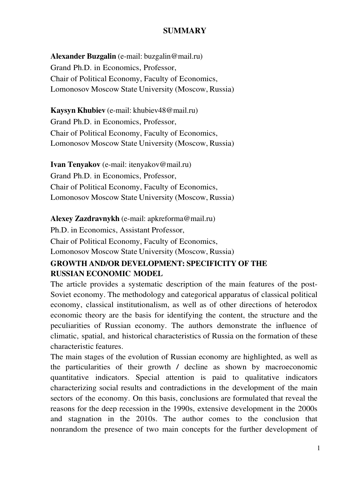## **SUMMARY**

**Alexander Buzgalin** (е-mail: buzgalin@mail.ru) Grand Ph.D. in Economics, Professor, Chair of Political Economy, Faculty of Economics, Lomonosov Moscow State University (Moscow, Russia)

**Kaysyn Khubiev** (e-mail: khubiev48@mail.ru) Grand Ph.D. in Economics, Professor, Chair of Political Economy, Faculty of Economics, Lomonosov Moscow State University (Moscow, Russia)

**Ivan Tenyakov** (e-mail: itenyakov@mail.ru) Grand Ph.D. in Economics, Professor, Chair of Political Economy, Faculty of Economics, Lomonosov Moscow State University (Moscow, Russia)

**Alexey Zazdravnykh** (e-mail: apkreforma@mail.ru)

Ph.D. in Economics, Assistant Professor,

Chair of Political Economy, Faculty of Economics,

Lomonosov Moscow State University (Moscow, Russia)

## **GROWTH AND/OR DEVELOPMENT: SPECIFICITY OF THE RUSSIAN ECONOMIC MODEL**

The article provides a systematic description of the main features of the post-Soviet economy. The methodology and categorical apparatus of classical political economy, classical institutionalism, as well as of other directions of heterodox economic theory are the basis for identifying the content, the structure and the peculiarities of Russian economy. The authors demonstrate the influence of climatic, spatial, and historical characteristics of Russia on the formation of these characteristic features.

The main stages of the evolution of Russian economy are highlighted, as well as the particularities of their growth / decline as shown by macroeconomic quantitative indicators. Special attention is paid to qualitative indicators characterizing social results and contradictions in the development of the main sectors of the economy. On this basis, conclusions are formulated that reveal the reasons for the deep recession in the 1990s, extensive development in the 2000s and stagnation in the 2010s. The author comes to the conclusion that nonrandom the presence of two main concepts for the further development of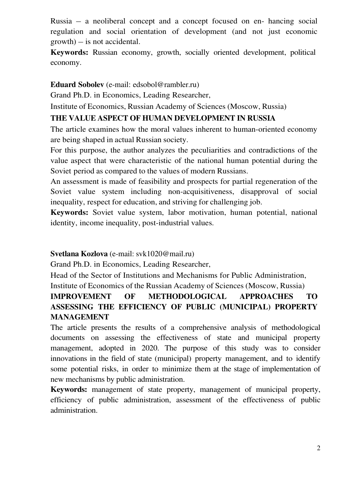Russia – a neoliberal concept and a concept focused on en- hancing social regulation and social orientation of development (and not just economic growth) – is not accidental.

**Keywords:** Russian economy, growth, socially oriented development, political economy.

### **Eduard Sobolev** (e-mail: edsobol@rambler.ru)

Grand Ph.D. in Economics, Leading Researcher,

Institute of Economics, Russian Academy of Sciences (Moscow, Russia)

## **THE VALUE ASPECT OF HUMAN DEVELOPMENT IN RUSSIA**

The article examines how the moral values inherent to human-oriented economy are being shaped in actual Russian society.

For this purpose, the author analyzes the peculiarities and contradictions of the value aspect that were characteristic of the national human potential during the Soviet period as compared to the values of modern Russians.

An assessment is made of feasibility and prospects for partial regeneration of the Soviet value system including non-acquisitiveness, disapproval of social inequality, respect for education, and striving for challenging job.

**Keywords:** Soviet value system, labor motivation, human potential, national identity, income inequality, post-industrial values.

#### **Svetlana Kozlova** (e-mail: svk1020@mail.ru)

Grand Ph.D. in Economics, Leading Researcher,

Head of the Sector of Institutions and Mechanisms for Public Administration, Institute of Economics of the Russian Academy of Sciences (Moscow, Russia)

# **IMPROVEMENT OF METHODOLOGICAL APPROACHES TO ASSESSING THE EFFICIENCY OF PUBLIC (MUNICIPAL) PROPERTY MANAGEMENT**

The article presents the results of a comprehensive analysis of methodological documents on assessing the effectiveness of state and municipal property management, adopted in 2020. The purpose of this study was to consider innovations in the field of state (municipal) property management, and to identify some potential risks, in order to minimize them at the stage of implementation of new mechanisms by public administration.

**Keywords:** management of state property, management of municipal property, efficiency of public administration, assessment of the effectiveness of public administration.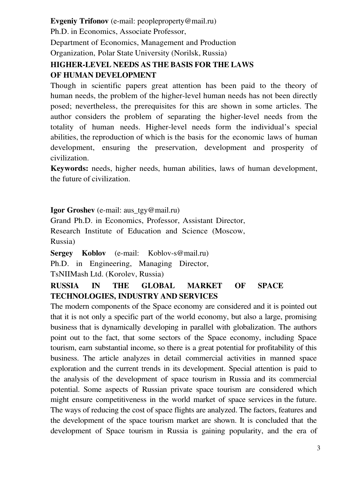**Evgeniy Trifonov** (е-mail: peopleproperty@mail.ru)

Ph.D. in Economics, Associate Professor,

Department of Economics, Management and Production

Organization, Polar State University (Norilsk, Russia)

# **HIGHER-LEVEL NEEDS AS THE BASIS FOR THE LAWS OF HUMAN DEVELOPMENT**

Though in scientific papers great attention has been paid to the theory of human needs, the problem of the higher-level human needs has not been directly posed; nevertheless, the prerequisites for this are shown in some articles. The author considers the problem of separating the higher-level needs from the totality of human needs. Higher-level needs form the individual's special abilities, the reproduction of which is the basis for the economic laws of human development, ensuring the preservation, development and prosperity of civilization.

**Keywords:** needs, higher needs, human abilities, laws of human development, the future of civilization.

**Igor Groshev** (e-mail: aus tgy@mail.ru)

Grand Ph.D. in Economics, Professor, Assistant Director, Research Institute of Education and Science (Moscow, Russia)

**Sergey Koblov** (e-mail: Koblov-s@mail.ru) Ph.D. in Engineering, Managing Director, TsNIIMash Ltd. (Korolev, Russia)

# **RUSSIA IN THE GLOBAL MARKET OF SPACE TECHNOLOGIES, INDUSTRY AND SERVICES**

The modern components of the Space economy are considered and it is pointed out that it is not only a specific part of the world economy, but also a large, promising business that is dynamically developing in parallel with globalization. The authors point out to the fact, that some sectors of the Space economy, including Space tourism, earn substantial income, so there is a great potential for profitability of this business. The article analyzes in detail commercial activities in manned space exploration and the current trends in its development. Special attention is paid to the analysis of the development of space tourism in Russia and its commercial potential. Some aspects of Russian private space tourism are considered which might ensure competitiveness in the world market of space services in the future. The ways of reducing the cost of space flights are analyzed. The factors, features and the development of the space tourism market are shown. It is concluded that the development of Space tourism in Russia is gaining popularity, and the era of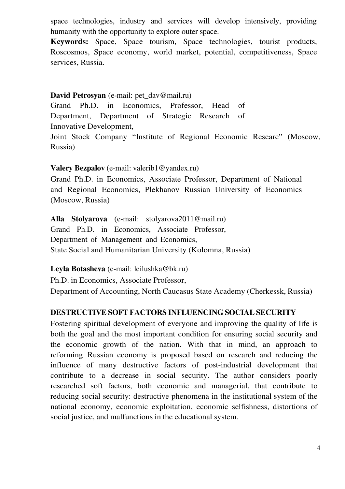space technologies, industry and services will develop intensively, providing humanity with the opportunity to explore outer space.

**Keywords:** Space, Space tourism, Space technologies, tourist products, Roscosmos, Space economy, world market, potential, competitiveness, Space services, Russia.

#### **David Petrosyan** (e-mail: pet\_dav@mail.ru)

Grand Ph.D. in Economics, Professor, Head of Department, Department of Strategic Research of Innovative Development,

Joint Stock Company "Institute of Regional Economic Researc" (Moscow, Russia)

### **Valery Bezpalov** (е-mail: valerib1@yandex.ru)

Grand Ph.D. in Economics, Associate Professor, Department of National and Regional Economics, Plekhanov Russian University of Economics (Moscow, Russia)

**Alla Stolyarova** (е-mail: stolyarova2011@mail.ru) Grand Ph.D. in Economics, Associate Professor, Department of Management and Economics, State Social and Humanitarian University (Kolomna, Russia)

**Leyla Botasheva** (е-mail: leilushka@bk.ru)

Ph.D. in Economics, Associate Professor,

Department of Accounting, North Caucasus State Academy (Cherkessk, Russia)

## **DESTRUCTIVE SOFT FACTORS INFLUENCING SOCIAL SECURITY**

Fostering spiritual development of everyone and improving the quality of life is both the goal and the most important condition for ensuring social security and the economic growth of the nation. With that in mind, an approach to reforming Russian economy is proposed based on research and reducing the influence of many destructive factors of post-industrial development that contribute to a decrease in social security. The author considers poorly researched soft factors, both economic and managerial, that contribute to reducing social security: destructive phenomena in the institutional system of the national economy, economic exploitation, economic selfishness, distortions of social justice, and malfunctions in the educational system.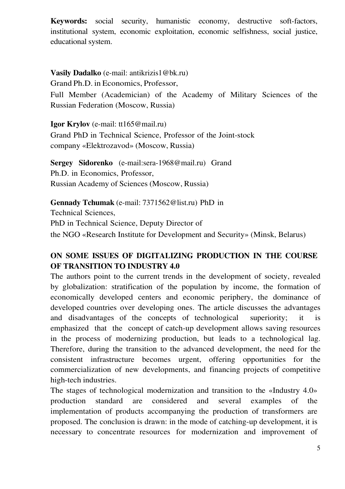**Keywords:** social security, humanistic economy, destructive soft-factors, institutional system, economic exploitation, economic selfishness, social justice, educational system.

**Vasily Dadalko** (е-mail: antikrizis1@bk.ru) Grand Ph.D. in Economics, Professor,

Full Member (Academician) of the Academy of Military Sciences of the Russian Federation (Moscow, Russia)

**Igor Krylov** (е-mail: tt165@mail.ru)

Grand PhD in Technical Science, Professor of the Joint-stock company «Elektrozavod» (Moscow, Russia)

**Sergey Sidorenko** (е-mail:sera-1968@mail.ru) Grand Ph.D. in Economics, Professor, Russian Academy of Sciences (Moscow, Russia)

**Gennady Tchumak** (е-mail: 7371562@list.ru) PhD in Technical Sciences, PhD in Technical Science, Deputy Director of the NGO «Research Institute for Development and Security» (Minsk, Belarus)

# **ON SOME ISSUES OF DIGITALIZING PRODUCTION IN THE COURSE OF TRANSITION TO INDUSTRY 4.0**

The authors point to the current trends in the development of society, revealed by globalization: stratification of the population by income, the formation of economically developed centers and economic periphery, the dominance of developed countries over developing ones. The article discusses the advantages and disadvantages of the concepts of technological superiority; it is emphasized that the concept of catch-up development allows saving resources in the process of modernizing production, but leads to a technological lag. Therefore, during the transition to the advanced development, the need for the consistent infrastructure becomes urgent, offering opportunities for the commercialization of new developments, and financing projects of competitive high-tech industries.

The stages of technological modernization and transition to the «Industry 4.0» production standard are considered and several examples of the implementation of products accompanying the production of transformers are proposed. The conclusion is drawn: in the mode of catching-up development, it is necessary to concentrate resources for modernization and improvement of